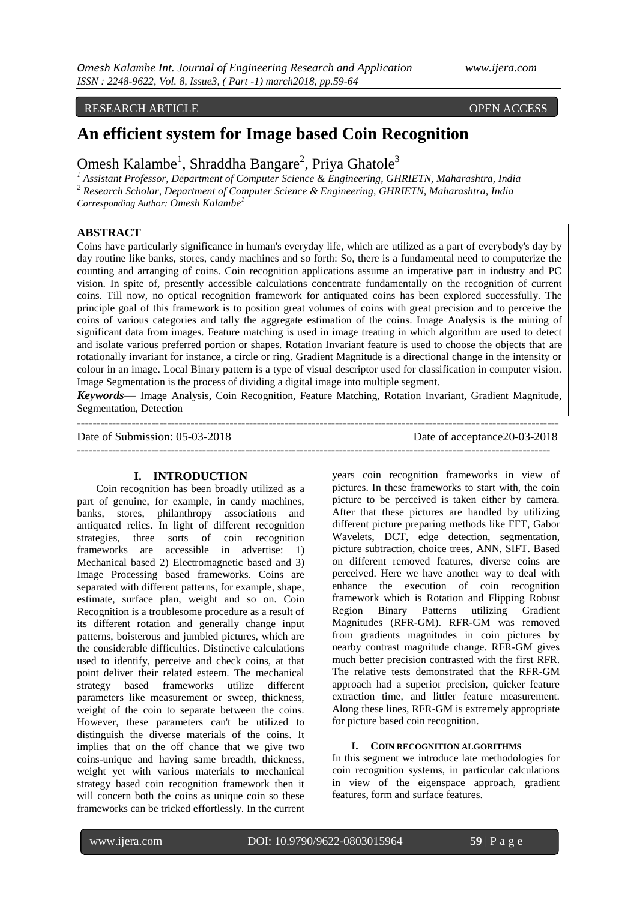#### RESEARCH ARTICLE **OPEN ACCESS**

# **An efficient system for Image based Coin Recognition**

Omesh Kalambe<sup>1</sup>, Shraddha Bangare<sup>2</sup>, Priya Ghatole<sup>3</sup>

*<sup>1</sup> Assistant Professor, Department of Computer Science & Engineering, GHRIETN, Maharashtra, India <sup>2</sup> Research Scholar, Department of Computer Science & Engineering, GHRIETN, Maharashtra, India*

*Corresponding Author: Omesh Kalambe<sup>1</sup>*

# **ABSTRACT**

Coins have particularly significance in human's everyday life, which are utilized as a part of everybody's day by day routine like banks, stores, candy machines and so forth: So, there is a fundamental need to computerize the counting and arranging of coins. Coin recognition applications assume an imperative part in industry and PC vision. In spite of, presently accessible calculations concentrate fundamentally on the recognition of current coins. Till now, no optical recognition framework for antiquated coins has been explored successfully. The principle goal of this framework is to position great volumes of coins with great precision and to perceive the coins of various categories and tally the aggregate estimation of the coins. Image Analysis is the mining of significant data from images. Feature matching is used in image treating in which algorithm are used to detect and isolate various preferred portion or shapes. Rotation Invariant feature is used to choose the objects that are rotationally invariant for instance, a circle or ring. Gradient Magnitude is a directional change in the intensity or colour in an image. Local Binary pattern is a type of visual descriptor used for classification in computer vision. Image Segmentation is the process of dividing a digital image into multiple segment.

*Keywords*— Image Analysis, Coin Recognition, Feature Matching, Rotation Invariant, Gradient Magnitude, Segmentation, Detection

**---------------------------------------------------------------------------------------------------------------------------**

Date of Submission: 05-03-2018 Date of acceptance20-03-2018

## **I. INTRODUCTION**

Coin recognition has been broadly utilized as a part of genuine, for example, in candy machines, banks, stores, philanthropy associations and antiquated relics. In light of different recognition strategies, three sorts of coin recognition frameworks are accessible in advertise: 1) Mechanical based 2) Electromagnetic based and 3) Image Processing based frameworks. Coins are separated with different patterns, for example, shape, estimate, surface plan, weight and so on. Coin Recognition is a troublesome procedure as a result of its different rotation and generally change input patterns, boisterous and jumbled pictures, which are the considerable difficulties. Distinctive calculations used to identify, perceive and check coins, at that point deliver their related esteem. The mechanical strategy based frameworks utilize different parameters like measurement or sweep, thickness, weight of the coin to separate between the coins. However, these parameters can't be utilized to distinguish the diverse materials of the coins. It implies that on the off chance that we give two coins-unique and having same breadth, thickness, weight yet with various materials to mechanical strategy based coin recognition framework then it will concern both the coins as unique coin so these frameworks can be tricked effortlessly. In the current years coin recognition frameworks in view of pictures. In these frameworks to start with, the coin picture to be perceived is taken either by camera. After that these pictures are handled by utilizing different picture preparing methods like FFT, Gabor Wavelets, DCT, edge detection, segmentation, picture subtraction, choice trees, ANN, SIFT. Based on different removed features, diverse coins are perceived. Here we have another way to deal with enhance the execution of coin recognition framework which is Rotation and Flipping Robust Region Binary Patterns utilizing Gradient Magnitudes (RFR-GM). RFR-GM was removed from gradients magnitudes in coin pictures by nearby contrast magnitude change. RFR-GM gives much better precision contrasted with the first RFR. The relative tests demonstrated that the RFR-GM approach had a superior precision, quicker feature extraction time, and littler feature measurement. Along these lines, RFR-GM is extremely appropriate for picture based coin recognition.

### **I. COIN RECOGNITION ALGORITHMS**

In this segment we introduce late methodologies for coin recognition systems, in particular calculations in view of the eigenspace approach, gradient features, form and surface features.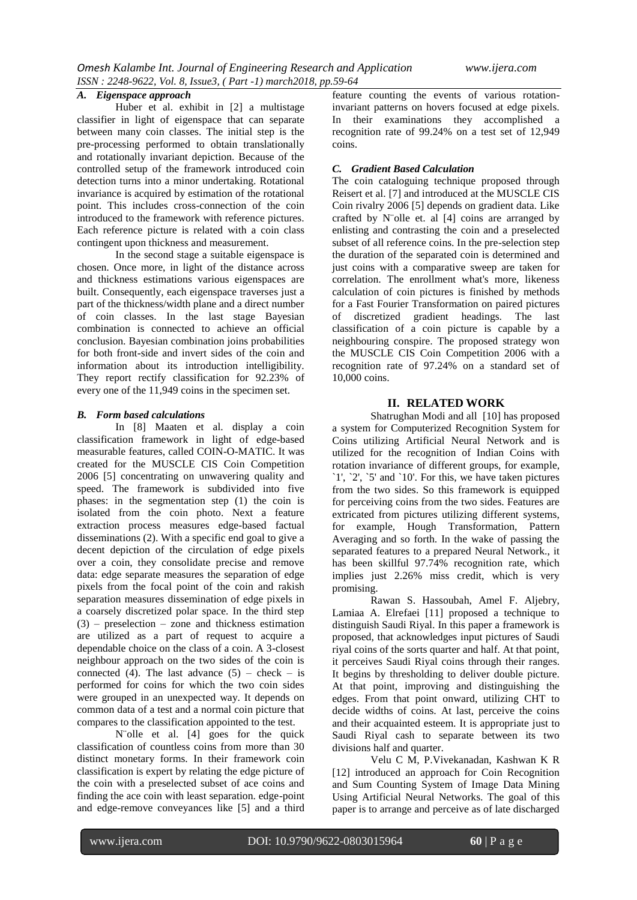#### *A. Eigenspace approach*

Huber et al. exhibit in [2] a multistage classifier in light of eigenspace that can separate between many coin classes. The initial step is the pre-processing performed to obtain translationally and rotationally invariant depiction. Because of the controlled setup of the framework introduced coin detection turns into a minor undertaking. Rotational invariance is acquired by estimation of the rotational point. This includes cross-connection of the coin introduced to the framework with reference pictures. Each reference picture is related with a coin class contingent upon thickness and measurement.

In the second stage a suitable eigenspace is chosen. Once more, in light of the distance across and thickness estimations various eigenspaces are built. Consequently, each eigenspace traverses just a part of the thickness/width plane and a direct number of coin classes. In the last stage Bayesian combination is connected to achieve an official conclusion. Bayesian combination joins probabilities for both front-side and invert sides of the coin and information about its introduction intelligibility. They report rectify classification for 92.23% of every one of the 11,949 coins in the specimen set.

#### *B. Form based calculations*

In [8] Maaten et al. display a coin classification framework in light of edge-based measurable features, called COIN-O-MATIC. It was created for the MUSCLE CIS Coin Competition 2006 [5] concentrating on unwavering quality and speed. The framework is subdivided into five phases: in the segmentation step (1) the coin is isolated from the coin photo. Next a feature extraction process measures edge-based factual disseminations (2). With a specific end goal to give a decent depiction of the circulation of edge pixels over a coin, they consolidate precise and remove data: edge separate measures the separation of edge pixels from the focal point of the coin and rakish separation measures dissemination of edge pixels in a coarsely discretized polar space. In the third step  $(3)$  – preselection – zone and thickness estimation are utilized as a part of request to acquire a dependable choice on the class of a coin. A 3-closest neighbour approach on the two sides of the coin is connected (4). The last advance  $(5)$  – check – is performed for coins for which the two coin sides were grouped in an unexpected way. It depends on common data of a test and a normal coin picture that compares to the classification appointed to the test.

N¨olle et al. [4] goes for the quick classification of countless coins from more than 30 distinct monetary forms. In their framework coin classification is expert by relating the edge picture of the coin with a preselected subset of ace coins and finding the ace coin with least separation. edge-point and edge-remove conveyances like [5] and a third

feature counting the events of various rotationinvariant patterns on hovers focused at edge pixels. In their examinations they accomplished a recognition rate of 99.24% on a test set of 12,949 coins.

### *C. Gradient Based Calculation*

The coin cataloguing technique proposed through Reisert et al. [7] and introduced at the MUSCLE CIS Coin rivalry 2006 [5] depends on gradient data. Like crafted by N¨olle et. al [4] coins are arranged by enlisting and contrasting the coin and a preselected subset of all reference coins. In the pre-selection step the duration of the separated coin is determined and just coins with a comparative sweep are taken for correlation. The enrollment what's more, likeness calculation of coin pictures is finished by methods for a Fast Fourier Transformation on paired pictures of discretized gradient headings. The last classification of a coin picture is capable by a neighbouring conspire. The proposed strategy won the MUSCLE CIS Coin Competition 2006 with a recognition rate of 97.24% on a standard set of 10,000 coins.

## **II. RELATED WORK**

Shatrughan Modi and all [10] has proposed a system for Computerized Recognition System for Coins utilizing Artificial Neural Network and is utilized for the recognition of Indian Coins with rotation invariance of different groups, for example, `1', `2', `5' and `10'. For this, we have taken pictures from the two sides. So this framework is equipped for perceiving coins from the two sides. Features are extricated from pictures utilizing different systems, for example, Hough Transformation, Pattern Averaging and so forth. In the wake of passing the separated features to a prepared Neural Network., it has been skillful 97.74% recognition rate, which implies just 2.26% miss credit, which is very promising.

Rawan S. Hassoubah, Amel F. Aljebry, Lamiaa A. Elrefaei [11] proposed a technique to distinguish Saudi Riyal. In this paper a framework is proposed, that acknowledges input pictures of Saudi riyal coins of the sorts quarter and half. At that point, it perceives Saudi Riyal coins through their ranges. It begins by thresholding to deliver double picture. At that point, improving and distinguishing the edges. From that point onward, utilizing CHT to decide widths of coins. At last, perceive the coins and their acquainted esteem. It is appropriate just to Saudi Riyal cash to separate between its two divisions half and quarter.

Velu C M, P.Vivekanadan, Kashwan K R [12] introduced an approach for Coin Recognition and Sum Counting System of Image Data Mining Using Artificial Neural Networks. The goal of this paper is to arrange and perceive as of late discharged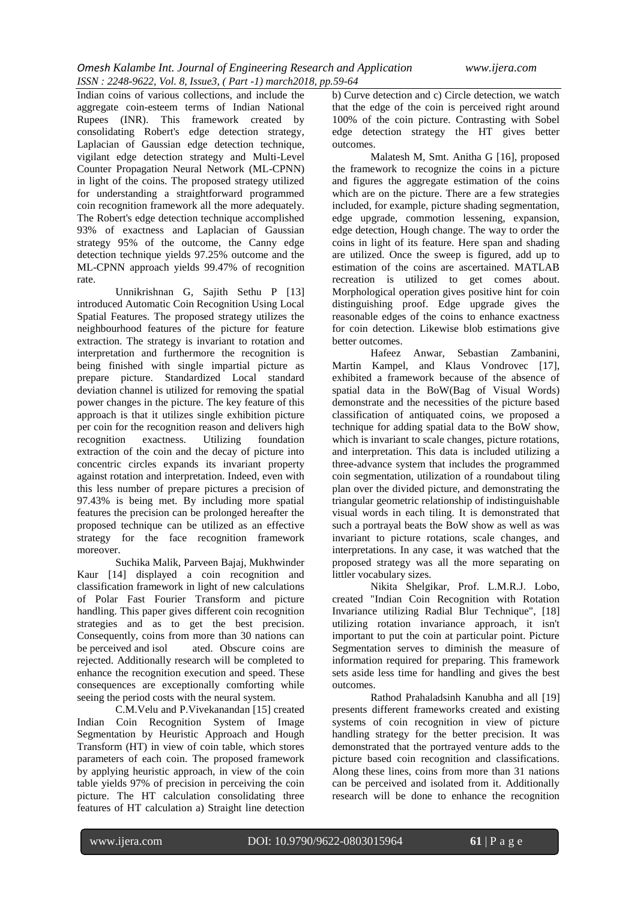Indian coins of various collections, and include the aggregate coin-esteem terms of Indian National Rupees (INR). This framework created by consolidating Robert's edge detection strategy, Laplacian of Gaussian edge detection technique, vigilant edge detection strategy and Multi-Level Counter Propagation Neural Network (ML-CPNN) in light of the coins. The proposed strategy utilized for understanding a straightforward programmed coin recognition framework all the more adequately. The Robert's edge detection technique accomplished 93% of exactness and Laplacian of Gaussian strategy 95% of the outcome, the Canny edge detection technique yields 97.25% outcome and the ML-CPNN approach yields 99.47% of recognition rate.

Unnikrishnan G, Sajith Sethu P [13] introduced Automatic Coin Recognition Using Local Spatial Features. The proposed strategy utilizes the neighbourhood features of the picture for feature extraction. The strategy is invariant to rotation and interpretation and furthermore the recognition is being finished with single impartial picture as prepare picture. Standardized Local standard deviation channel is utilized for removing the spatial power changes in the picture. The key feature of this approach is that it utilizes single exhibition picture per coin for the recognition reason and delivers high<br>recognition exactness. Utilizing foundation recognition exactness. Utilizing foundation extraction of the coin and the decay of picture into concentric circles expands its invariant property against rotation and interpretation. Indeed, even with this less number of prepare pictures a precision of 97.43% is being met. By including more spatial features the precision can be prolonged hereafter the proposed technique can be utilized as an effective strategy for the face recognition framework moreover.

Suchika Malik, Parveen Bajaj, Mukhwinder Kaur [14] displayed a coin recognition and classification framework in light of new calculations of Polar Fast Fourier Transform and picture handling. This paper gives different coin recognition strategies and as to get the best precision. Consequently, coins from more than 30 nations can<br>be perceived and isol ated. Obscure coins are ated. Obscure coins are rejected. Additionally research will be completed to enhance the recognition execution and speed. These consequences are exceptionally comforting while seeing the period costs with the neural system.

C.M.Velu and P.Vivekanandan [15] created Indian Coin Recognition System of Image Segmentation by Heuristic Approach and Hough Transform (HT) in view of coin table, which stores parameters of each coin. The proposed framework by applying heuristic approach, in view of the coin table yields 97% of precision in perceiving the coin picture. The HT calculation consolidating three features of HT calculation a) Straight line detection b) Curve detection and c) Circle detection, we watch that the edge of the coin is perceived right around 100% of the coin picture. Contrasting with Sobel edge detection strategy the HT gives better outcomes.

Malatesh M, Smt. Anitha G [16], proposed the framework to recognize the coins in a picture and figures the aggregate estimation of the coins which are on the picture. There are a few strategies included, for example, picture shading segmentation, edge upgrade, commotion lessening, expansion, edge detection, Hough change. The way to order the coins in light of its feature. Here span and shading are utilized. Once the sweep is figured, add up to estimation of the coins are ascertained. MATLAB recreation is utilized to get comes about. Morphological operation gives positive hint for coin distinguishing proof. Edge upgrade gives the reasonable edges of the coins to enhance exactness for coin detection. Likewise blob estimations give better outcomes.

Hafeez Anwar, Sebastian Zambanini, Martin Kampel, and Klaus Vondrovec [17], exhibited a framework because of the absence of spatial data in the BoW(Bag of Visual Words) demonstrate and the necessities of the picture based classification of antiquated coins, we proposed a technique for adding spatial data to the BoW show, which is invariant to scale changes, picture rotations, and interpretation. This data is included utilizing a three-advance system that includes the programmed coin segmentation, utilization of a roundabout tiling plan over the divided picture, and demonstrating the triangular geometric relationship of indistinguishable visual words in each tiling. It is demonstrated that such a portrayal beats the BoW show as well as was invariant to picture rotations, scale changes, and interpretations. In any case, it was watched that the proposed strategy was all the more separating on littler vocabulary sizes.

Nikita Shelgikar, Prof. L.M.R.J. Lobo, created "Indian Coin Recognition with Rotation Invariance utilizing Radial Blur Technique", [18] utilizing rotation invariance approach, it isn't important to put the coin at particular point. Picture Segmentation serves to diminish the measure of information required for preparing. This framework sets aside less time for handling and gives the best outcomes.

Rathod Prahaladsinh Kanubha and all [19] presents different frameworks created and existing systems of coin recognition in view of picture handling strategy for the better precision. It was demonstrated that the portrayed venture adds to the picture based coin recognition and classifications. Along these lines, coins from more than 31 nations can be perceived and isolated from it. Additionally research will be done to enhance the recognition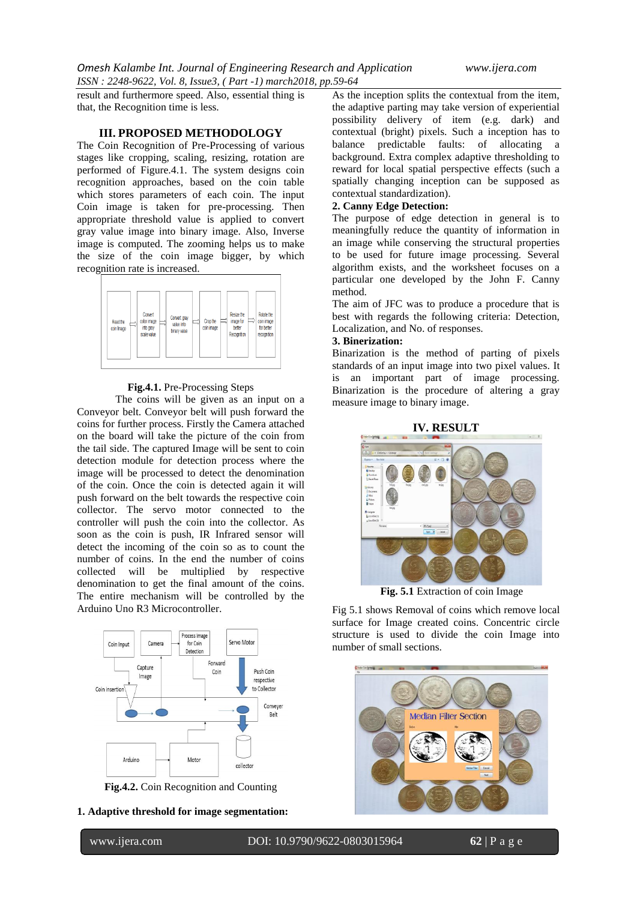result and furthermore speed. Also, essential thing is that, the Recognition time is less.

### **III. PROPOSED METHODOLOGY**

The Coin Recognition of Pre-Processing of various stages like cropping, scaling, resizing, rotation are performed of Figure.4.1. The system designs coin recognition approaches, based on the coin table which stores parameters of each coin. The input Coin image is taken for pre-processing. Then appropriate threshold value is applied to convert gray value image into binary image. Also, Inverse image is computed. The zooming helps us to make the size of the coin image bigger, by which recognition rate is increased.



#### **Fig.4.1.** Pre-Processing Steps

The coins will be given as an input on a Conveyor belt. Conveyor belt will push forward the coins for further process. Firstly the Camera attached on the board will take the picture of the coin from the tail side. The captured Image will be sent to coin detection module for detection process where the image will be processed to detect the denomination of the coin. Once the coin is detected again it will push forward on the belt towards the respective coin collector. The servo motor connected to the controller will push the coin into the collector. As soon as the coin is push, IR Infrared sensor will detect the incoming of the coin so as to count the number of coins. In the end the number of coins collected will be multiplied by respective denomination to get the final amount of the coins. The entire mechanism will be controlled by the Arduino Uno R3 Microcontroller.



**Fig.4.2.** Coin Recognition and Counting

**1. Adaptive threshold for image segmentation:**

www.ijera.com DOI: 10.9790/9622-0803015964 **62** | P a g e

As the inception splits the contextual from the item, the adaptive parting may take version of experiential possibility delivery of item (e.g. dark) and contextual (bright) pixels. Such a inception has to balance predictable faults: of allocating a background. Extra complex adaptive thresholding to reward for local spatial perspective effects (such a spatially changing inception can be supposed as contextual standardization).

## **2. Canny Edge Detection:**

The purpose of edge detection in general is to meaningfully reduce the quantity of information in an image while conserving the structural properties to be used for future image processing. Several algorithm exists, and the worksheet focuses on a particular one developed by the John F. Canny method.

The aim of JFC was to produce a procedure that is best with regards the following criteria: Detection, Localization, and No. of responses.

#### **3. Binerization:**

Binarization is the method of parting of pixels standards of an input image into two pixel values. It is an important part of image processing. Binarization is the procedure of altering a gray measure image to binary image.



**Fig. 5.1** Extraction of coin Image

Fig 5.1 shows Removal of coins which remove local surface for Image created coins. Concentric circle structure is used to divide the coin Image into number of small sections.

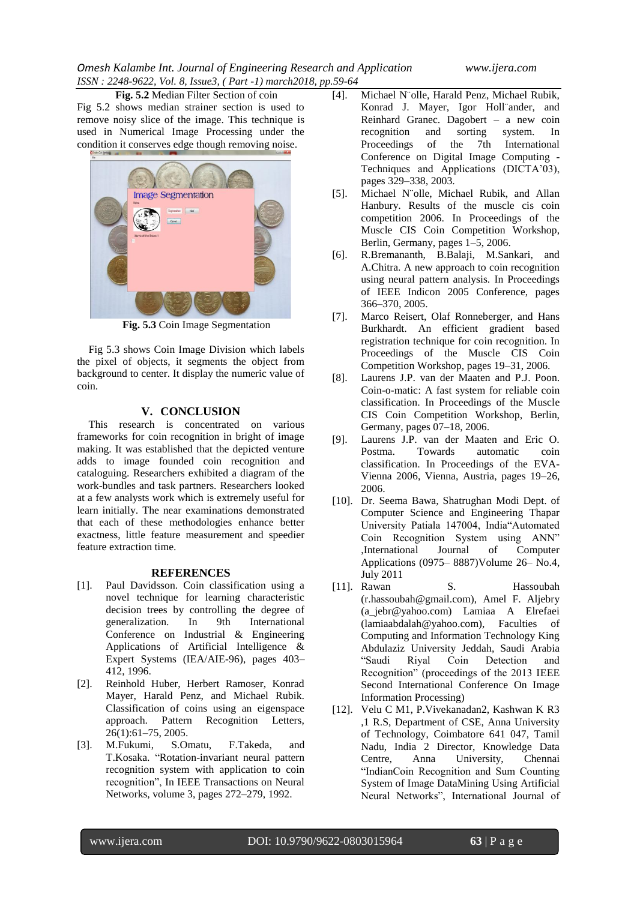**Fig. 5.2** Median Filter Section of coin Fig 5.2 shows median strainer section is used to remove noisy slice of the image. This technique is used in Numerical Image Processing under the condition it conserves edge though removing noise.



**Fig. 5.3** Coin Image Segmentation

Fig 5.3 shows Coin Image Division which labels the pixel of objects, it segments the object from background to center. It display the numeric value of coin.

## **V. CONCLUSION**

This research is concentrated on various frameworks for coin recognition in bright of image making. It was established that the depicted venture adds to image founded coin recognition and cataloguing. Researchers exhibited a diagram of the work-bundles and task partners. Researchers looked at a few analysts work which is extremely useful for learn initially. The near examinations demonstrated that each of these methodologies enhance better exactness, little feature measurement and speedier feature extraction time.

## **REFERENCES**

- [1]. Paul Davidsson. Coin classification using a novel technique for learning characteristic decision trees by controlling the degree of generalization. In 9th International Conference on Industrial & Engineering Applications of Artificial Intelligence & Expert Systems (IEA/AIE-96), pages 403– 412, 1996.
- [2]. Reinhold Huber, Herbert Ramoser, Konrad Mayer, Harald Penz, and Michael Rubik. Classification of coins using an eigenspace approach. Pattern Recognition Letters, 26(1):61–75, 2005.<br>M.Fukumi, S.Omatu,
- [3]. M.Fukumi, S.Omatu, F.Takeda, and T.Kosaka. "Rotation-invariant neural pattern recognition system with application to coin recognition", In IEEE Transactions on Neural Networks, volume 3, pages 272–279, 1992.
- [4]. Michael N¨olle, Harald Penz, Michael Rubik, Konrad J. Mayer, Igor Holl¨ander, and Reinhard Granec. Dagobert – a new coin recognition and sorting system. In recognition and sorting system. In Proceedings of the 7th International Conference on Digital Image Computing - Techniques and Applications (DICTA'03), pages 329–338, 2003.
- [5]. Michael N¨olle, Michael Rubik, and Allan Hanbury. Results of the muscle cis coin competition 2006. In Proceedings of the Muscle CIS Coin Competition Workshop, Berlin, Germany, pages 1–5, 2006.
- [6]. R.Bremananth, B.Balaji, M.Sankari, and A.Chitra. A new approach to coin recognition using neural pattern analysis. In Proceedings of IEEE Indicon 2005 Conference, pages 366–370, 2005.
- [7]. Marco Reisert, Olaf Ronneberger, and Hans Burkhardt. An efficient gradient based registration technique for coin recognition. In Proceedings of the Muscle CIS Coin Competition Workshop, pages 19–31, 2006.
- [8]. Laurens J.P. van der Maaten and P.J. Poon. Coin-o-matic: A fast system for reliable coin classification. In Proceedings of the Muscle CIS Coin Competition Workshop, Berlin, Germany, pages 07–18, 2006.
- [9]. Laurens J.P. van der Maaten and Eric O. Postma. Towards automatic coin classification. In Proceedings of the EVA-Vienna 2006, Vienna, Austria, pages 19–26, 2006.
- [10]. Dr. Seema Bawa, Shatrughan Modi Dept. of Computer Science and Engineering Thapar University Patiala 147004, India"Automated Coin Recognition System using ANN" ,International Journal of Computer Applications (0975– 8887)Volume 26– No.4, July 2011
- [11]. Rawan S. Hassoubah (r.hassoubah@gmail.com), Amel F. Aljebry (a\_jebr@yahoo.com) Lamiaa A Elrefaei (lamiaabdalah@yahoo.com), Faculties of Computing and Information Technology King Abdulaziz University Jeddah, Saudi Arabia ―Saudi Riyal Coin Detection and Recognition" (proceedings of the 2013 IEEE Second International Conference On Image Information Processing)
- [12]. Velu C M1, P.Vivekanadan2, Kashwan K R3 ,1 R.S, Department of CSE, Anna University of Technology, Coimbatore 641 047, Tamil Nadu, India 2 Director, Knowledge Data Centre, Anna University, Chennai "IndianCoin Recognition and Sum Counting System of Image DataMining Using Artificial Neural Networks", International Journal of